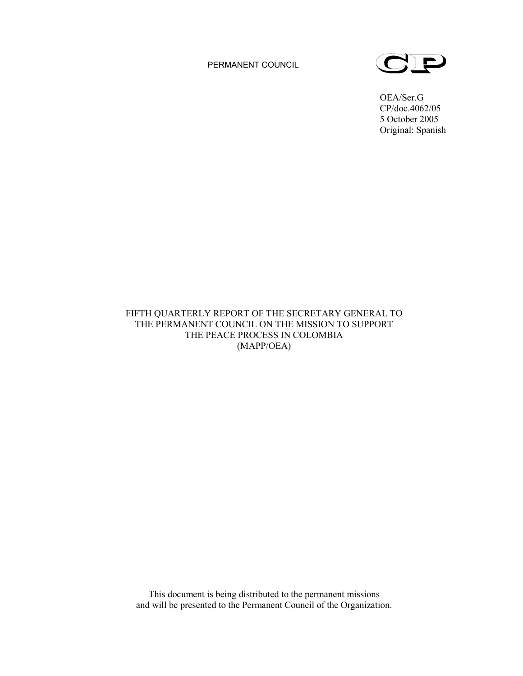PERMANENT COUNCIL



OEA/Ser.G CP/doc.4062/05 5 October 2005 Original: Spanish

# FIFTH QUARTERLY REPORT OF THE SECRETARY GENERAL TO THE PERMANENT COUNCIL ON THE MISSION TO SUPPORT THE PEACE PROCESS IN COLOMBIA (MAPP/OEA)

This document is being distributed to the permanent missions and will be presented to the Permanent Council of the Organization.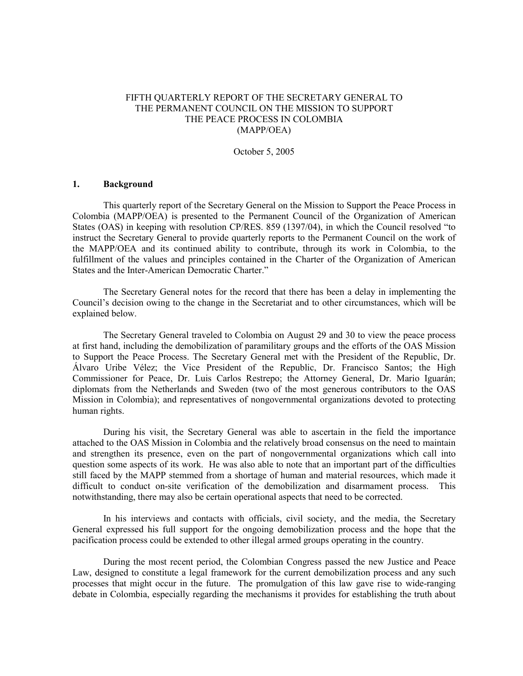# FIFTH QUARTERLY REPORT OF THE SECRETARY GENERAL TO THE PERMANENT COUNCIL ON THE MISSION TO SUPPORT THE PEACE PROCESS IN COLOMBIA (MAPP/OEA)

October 5, 2005

## **1. Background**

This quarterly report of the Secretary General on the Mission to Support the Peace Process in Colombia (MAPP/OEA) is presented to the Permanent Council of the Organization of American States (OAS) in keeping with resolution CP/RES. 859 (1397/04), in which the Council resolved "to instruct the Secretary General to provide quarterly reports to the Permanent Council on the work of the MAPP/OEA and its continued ability to contribute, through its work in Colombia, to the fulfillment of the values and principles contained in the Charter of the Organization of American States and the Inter-American Democratic Charter."

The Secretary General notes for the record that there has been a delay in implementing the Council's decision owing to the change in the Secretariat and to other circumstances, which will be explained below.

The Secretary General traveled to Colombia on August 29 and 30 to view the peace process at first hand, including the demobilization of paramilitary groups and the efforts of the OAS Mission to Support the Peace Process. The Secretary General met with the President of the Republic, Dr. Álvaro Uribe Vélez; the Vice President of the Republic, Dr. Francisco Santos; the High Commissioner for Peace, Dr. Luis Carlos Restrepo; the Attorney General, Dr. Mario Iguarán; diplomats from the Netherlands and Sweden (two of the most generous contributors to the OAS Mission in Colombia); and representatives of nongovernmental organizations devoted to protecting human rights.

During his visit, the Secretary General was able to ascertain in the field the importance attached to the OAS Mission in Colombia and the relatively broad consensus on the need to maintain and strengthen its presence, even on the part of nongovernmental organizations which call into question some aspects of its work. He was also able to note that an important part of the difficulties still faced by the MAPP stemmed from a shortage of human and material resources, which made it difficult to conduct on-site verification of the demobilization and disarmament process. This notwithstanding, there may also be certain operational aspects that need to be corrected.

In his interviews and contacts with officials, civil society, and the media, the Secretary General expressed his full support for the ongoing demobilization process and the hope that the pacification process could be extended to other illegal armed groups operating in the country.

During the most recent period, the Colombian Congress passed the new Justice and Peace Law, designed to constitute a legal framework for the current demobilization process and any such processes that might occur in the future. The promulgation of this law gave rise to wide-ranging debate in Colombia, especially regarding the mechanisms it provides for establishing the truth about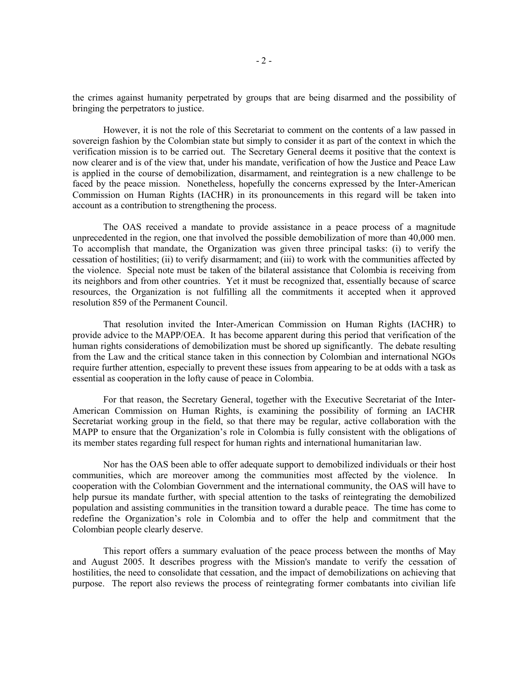the crimes against humanity perpetrated by groups that are being disarmed and the possibility of bringing the perpetrators to justice.

However, it is not the role of this Secretariat to comment on the contents of a law passed in sovereign fashion by the Colombian state but simply to consider it as part of the context in which the verification mission is to be carried out. The Secretary General deems it positive that the context is now clearer and is of the view that, under his mandate, verification of how the Justice and Peace Law is applied in the course of demobilization, disarmament, and reintegration is a new challenge to be faced by the peace mission. Nonetheless, hopefully the concerns expressed by the Inter-American Commission on Human Rights (IACHR) in its pronouncements in this regard will be taken into account as a contribution to strengthening the process.

The OAS received a mandate to provide assistance in a peace process of a magnitude unprecedented in the region, one that involved the possible demobilization of more than 40,000 men. To accomplish that mandate, the Organization was given three principal tasks: (i) to verify the cessation of hostilities; (ii) to verify disarmament; and (iii) to work with the communities affected by the violence. Special note must be taken of the bilateral assistance that Colombia is receiving from its neighbors and from other countries. Yet it must be recognized that, essentially because of scarce resources, the Organization is not fulfilling all the commitments it accepted when it approved resolution 859 of the Permanent Council.

That resolution invited the Inter-American Commission on Human Rights (IACHR) to provide advice to the MAPP/OEA. It has become apparent during this period that verification of the human rights considerations of demobilization must be shored up significantly. The debate resulting from the Law and the critical stance taken in this connection by Colombian and international NGOs require further attention, especially to prevent these issues from appearing to be at odds with a task as essential as cooperation in the lofty cause of peace in Colombia.

For that reason, the Secretary General, together with the Executive Secretariat of the Inter-American Commission on Human Rights, is examining the possibility of forming an IACHR Secretariat working group in the field, so that there may be regular, active collaboration with the MAPP to ensure that the Organization's role in Colombia is fully consistent with the obligations of its member states regarding full respect for human rights and international humanitarian law.

Nor has the OAS been able to offer adequate support to demobilized individuals or their host communities, which are moreover among the communities most affected by the violence. In cooperation with the Colombian Government and the international community, the OAS will have to help pursue its mandate further, with special attention to the tasks of reintegrating the demobilized population and assisting communities in the transition toward a durable peace. The time has come to redefine the Organization's role in Colombia and to offer the help and commitment that the Colombian people clearly deserve.

This report offers a summary evaluation of the peace process between the months of May and August 2005. It describes progress with the Mission's mandate to verify the cessation of hostilities, the need to consolidate that cessation, and the impact of demobilizations on achieving that purpose. The report also reviews the process of reintegrating former combatants into civilian life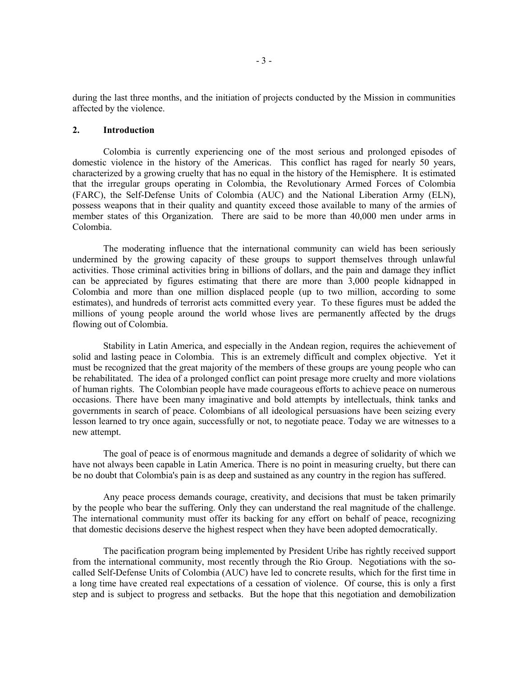during the last three months, and the initiation of projects conducted by the Mission in communities affected by the violence.

# **2. Introduction**

Colombia is currently experiencing one of the most serious and prolonged episodes of domestic violence in the history of the Americas. This conflict has raged for nearly 50 years, characterized by a growing cruelty that has no equal in the history of the Hemisphere. It is estimated that the irregular groups operating in Colombia, the Revolutionary Armed Forces of Colombia (FARC), the Self-Defense Units of Colombia (AUC) and the National Liberation Army (ELN), possess weapons that in their quality and quantity exceed those available to many of the armies of member states of this Organization. There are said to be more than 40,000 men under arms in Colombia.

The moderating influence that the international community can wield has been seriously undermined by the growing capacity of these groups to support themselves through unlawful activities. Those criminal activities bring in billions of dollars, and the pain and damage they inflict can be appreciated by figures estimating that there are more than 3,000 people kidnapped in Colombia and more than one million displaced people (up to two million, according to some estimates), and hundreds of terrorist acts committed every year. To these figures must be added the millions of young people around the world whose lives are permanently affected by the drugs flowing out of Colombia.

Stability in Latin America, and especially in the Andean region, requires the achievement of solid and lasting peace in Colombia. This is an extremely difficult and complex objective. Yet it must be recognized that the great majority of the members of these groups are young people who can be rehabilitated. The idea of a prolonged conflict can point presage more cruelty and more violations of human rights. The Colombian people have made courageous efforts to achieve peace on numerous occasions. There have been many imaginative and bold attempts by intellectuals, think tanks and governments in search of peace. Colombians of all ideological persuasions have been seizing every lesson learned to try once again, successfully or not, to negotiate peace. Today we are witnesses to a new attempt.

The goal of peace is of enormous magnitude and demands a degree of solidarity of which we have not always been capable in Latin America. There is no point in measuring cruelty, but there can be no doubt that Colombia's pain is as deep and sustained as any country in the region has suffered.

Any peace process demands courage, creativity, and decisions that must be taken primarily by the people who bear the suffering. Only they can understand the real magnitude of the challenge. The international community must offer its backing for any effort on behalf of peace, recognizing that domestic decisions deserve the highest respect when they have been adopted democratically.

The pacification program being implemented by President Uribe has rightly received support from the international community, most recently through the Rio Group. Negotiations with the socalled Self-Defense Units of Colombia (AUC) have led to concrete results, which for the first time in a long time have created real expectations of a cessation of violence. Of course, this is only a first step and is subject to progress and setbacks. But the hope that this negotiation and demobilization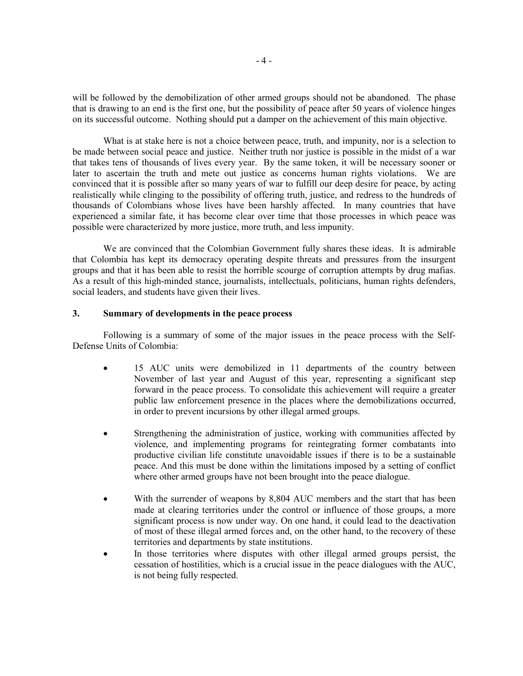will be followed by the demobilization of other armed groups should not be abandoned. The phase that is drawing to an end is the first one, but the possibility of peace after 50 years of violence hinges on its successful outcome. Nothing should put a damper on the achievement of this main objective.

What is at stake here is not a choice between peace, truth, and impunity, nor is a selection to be made between social peace and justice. Neither truth nor justice is possible in the midst of a war that takes tens of thousands of lives every year. By the same token, it will be necessary sooner or later to ascertain the truth and mete out justice as concerns human rights violations. We are convinced that it is possible after so many years of war to fulfill our deep desire for peace, by acting realistically while clinging to the possibility of offering truth, justice, and redress to the hundreds of thousands of Colombians whose lives have been harshly affected. In many countries that have experienced a similar fate, it has become clear over time that those processes in which peace was possible were characterized by more justice, more truth, and less impunity.

We are convinced that the Colombian Government fully shares these ideas. It is admirable that Colombia has kept its democracy operating despite threats and pressures from the insurgent groups and that it has been able to resist the horrible scourge of corruption attempts by drug mafias. As a result of this high-minded stance, journalists, intellectuals, politicians, human rights defenders, social leaders, and students have given their lives.

# **3. Summary of developments in the peace process**

Following is a summary of some of the major issues in the peace process with the Self-Defense Units of Colombia:

- 15 AUC units were demobilized in 11 departments of the country between November of last year and August of this year, representing a significant step forward in the peace process. To consolidate this achievement will require a greater public law enforcement presence in the places where the demobilizations occurred, in order to prevent incursions by other illegal armed groups.
- Strengthening the administration of justice, working with communities affected by violence, and implementing programs for reintegrating former combatants into productive civilian life constitute unavoidable issues if there is to be a sustainable peace. And this must be done within the limitations imposed by a setting of conflict where other armed groups have not been brought into the peace dialogue.
- With the surrender of weapons by 8,804 AUC members and the start that has been made at clearing territories under the control or influence of those groups, a more significant process is now under way. On one hand, it could lead to the deactivation of most of these illegal armed forces and, on the other hand, to the recovery of these territories and departments by state institutions.
- In those territories where disputes with other illegal armed groups persist, the cessation of hostilities, which is a crucial issue in the peace dialogues with the AUC, is not being fully respected.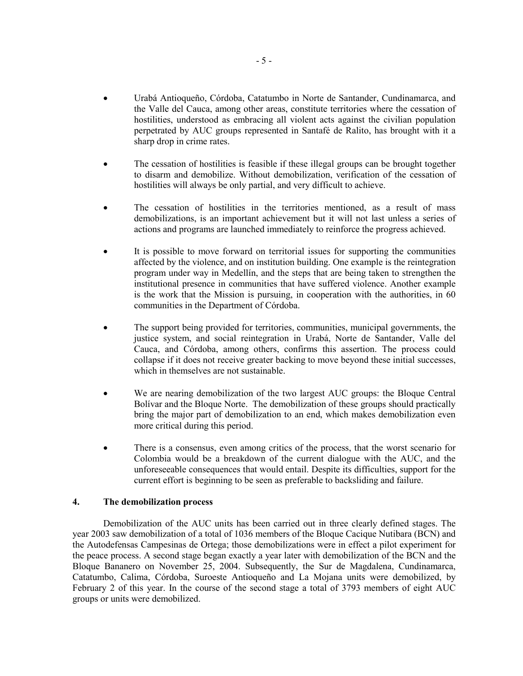- Urabá Antioqueño, Córdoba, Catatumbo in Norte de Santander, Cundinamarca, and the Valle del Cauca, among other areas, constitute territories where the cessation of hostilities, understood as embracing all violent acts against the civilian population perpetrated by AUC groups represented in Santafé de Ralito, has brought with it a sharp drop in crime rates.
- The cessation of hostilities is feasible if these illegal groups can be brought together to disarm and demobilize. Without demobilization, verification of the cessation of hostilities will always be only partial, and very difficult to achieve.
- The cessation of hostilities in the territories mentioned, as a result of mass demobilizations, is an important achievement but it will not last unless a series of actions and programs are launched immediately to reinforce the progress achieved.
- It is possible to move forward on territorial issues for supporting the communities affected by the violence, and on institution building. One example is the reintegration program under way in Medellín, and the steps that are being taken to strengthen the institutional presence in communities that have suffered violence. Another example is the work that the Mission is pursuing, in cooperation with the authorities, in 60 communities in the Department of Córdoba.
- The support being provided for territories, communities, municipal governments, the justice system, and social reintegration in Urabá, Norte de Santander, Valle del Cauca, and Córdoba, among others, confirms this assertion. The process could collapse if it does not receive greater backing to move beyond these initial successes, which in themselves are not sustainable.
- We are nearing demobilization of the two largest AUC groups: the Bloque Central Bolívar and the Bloque Norte. The demobilization of these groups should practically bring the major part of demobilization to an end, which makes demobilization even more critical during this period.
- There is a consensus, even among critics of the process, that the worst scenario for Colombia would be a breakdown of the current dialogue with the AUC, and the unforeseeable consequences that would entail. Despite its difficulties, support for the current effort is beginning to be seen as preferable to backsliding and failure.

# **4. The demobilization process**

Demobilization of the AUC units has been carried out in three clearly defined stages. The year 2003 saw demobilization of a total of 1036 members of the Bloque Cacique Nutibara (BCN) and the Autodefensas Campesinas de Ortega; those demobilizations were in effect a pilot experiment for the peace process. A second stage began exactly a year later with demobilization of the BCN and the Bloque Bananero on November 25, 2004. Subsequently, the Sur de Magdalena, Cundinamarca, Catatumbo, Calima, Córdoba, Suroeste Antioqueño and La Mojana units were demobilized, by February 2 of this year. In the course of the second stage a total of 3793 members of eight AUC groups or units were demobilized.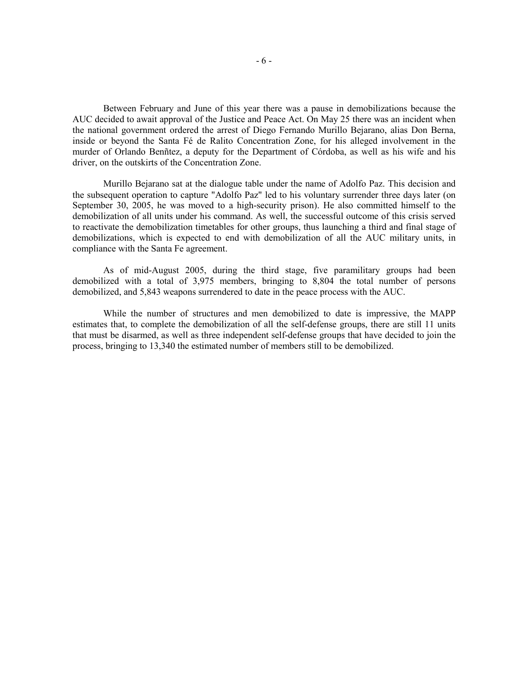Between February and June of this year there was a pause in demobilizations because the AUC decided to await approval of the Justice and Peace Act. On May 25 there was an incident when the national government ordered the arrest of Diego Fernando Murillo Bejarano, alias Don Berna, inside or beyond the Santa Fé de Ralito Concentration Zone, for his alleged involvement in the murder of Orlando Benñtez, a deputy for the Department of Córdoba, as well as his wife and his driver, on the outskirts of the Concentration Zone.

Murillo Bejarano sat at the dialogue table under the name of Adolfo Paz. This decision and the subsequent operation to capture "Adolfo Paz" led to his voluntary surrender three days later (on September 30, 2005, he was moved to a high-security prison). He also committed himself to the demobilization of all units under his command. As well, the successful outcome of this crisis served to reactivate the demobilization timetables for other groups, thus launching a third and final stage of demobilizations, which is expected to end with demobilization of all the AUC military units, in compliance with the Santa Fe agreement.

As of mid-August 2005, during the third stage, five paramilitary groups had been demobilized with a total of 3,975 members, bringing to 8,804 the total number of persons demobilized, and 5,843 weapons surrendered to date in the peace process with the AUC.

While the number of structures and men demobilized to date is impressive, the MAPP estimates that, to complete the demobilization of all the self-defense groups, there are still 11 units that must be disarmed, as well as three independent self-defense groups that have decided to join the process, bringing to 13,340 the estimated number of members still to be demobilized.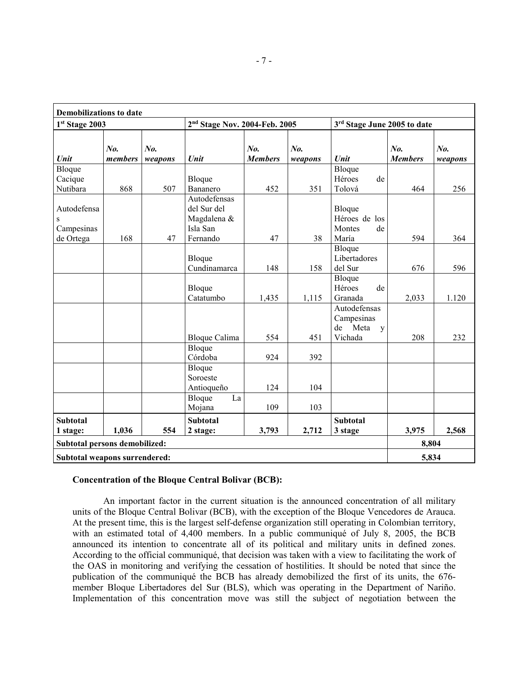| <b>Demobilizations to date</b>              |                |                    |                                                                    |                       |                |                                                       |                       |                |
|---------------------------------------------|----------------|--------------------|--------------------------------------------------------------------|-----------------------|----------------|-------------------------------------------------------|-----------------------|----------------|
| 1st Stage 2003                              |                |                    | 2 <sup>nd</sup> Stage Nov. 2004-Feb. 2005                          |                       |                | 3rd Stage June 2005 to date                           |                       |                |
| Unit                                        | No.<br>members | $N_{0}$<br>weapons | Unit                                                               | No.<br><b>Members</b> | No.<br>weapons | Unit                                                  | No.<br><b>Members</b> | No.<br>weapons |
| Bloque<br>Cacique<br>Nutibara               | 868            | 507                | Bloque<br>Bananero                                                 | 452                   | 351            | Bloque<br>Héroes<br>de<br>Tolová                      | 464                   | 256            |
| Autodefensa<br>S<br>Campesinas<br>de Ortega | 168            | 47                 | Autodefensas<br>del Sur del<br>Magdalena &<br>Isla San<br>Fernando | 47                    | 38             | Bloque<br>Héroes de los<br>Montes<br>de<br>María      | 594                   | 364            |
|                                             |                |                    | Bloque<br>Cundinamarca                                             | 148                   | 158            | $\overline{B}$ loque<br>Libertadores<br>del Sur       | 676                   | 596            |
|                                             |                |                    | Bloque<br>Catatumbo                                                | 1,435                 | 1,115          | $\overline{B}$ loque<br>Héroes<br>de<br>Granada       | 2,033                 | 1.120          |
|                                             |                |                    | <b>Bloque Calima</b>                                               | 554                   | 451            | Autodefensas<br>Campesinas<br>de Meta<br>y<br>Vichada | 208                   | 232            |
|                                             |                |                    | Bloque<br>Córdoba                                                  | 924                   | 392            |                                                       |                       |                |
|                                             |                |                    | Bloque<br>Soroeste<br>Antioqueño                                   | 124                   | 104            |                                                       |                       |                |
|                                             |                |                    | La<br>Bloque<br>Mojana                                             | 109                   | 103            |                                                       |                       |                |
| <b>Subtotal</b><br>1 stage:                 | 1,036          | 554                | <b>Subtotal</b><br>2 stage:                                        | 3,793                 | 2,712          | <b>Subtotal</b><br>3 stage                            | 3,975                 | 2,568          |
| Subtotal persons demobilized:               |                |                    |                                                                    |                       |                |                                                       | 8,804                 |                |
| Subtotal weapons surrendered:               |                |                    |                                                                    |                       |                |                                                       | 5,834                 |                |

### **Concentration of the Bloque Central Bolivar (BCB):**

An important factor in the current situation is the announced concentration of all military units of the Bloque Central Bolivar (BCB), with the exception of the Bloque Vencedores de Arauca. At the present time, this is the largest self-defense organization still operating in Colombian territory, with an estimated total of 4,400 members. In a public communiqué of July 8, 2005, the BCB announced its intention to concentrate all of its political and military units in defined zones. According to the official communiqué, that decision was taken with a view to facilitating the work of the OAS in monitoring and verifying the cessation of hostilities. It should be noted that since the publication of the communiqué the BCB has already demobilized the first of its units, the 676 member Bloque Libertadores del Sur (BLS), which was operating in the Department of Nariño. Implementation of this concentration move was still the subject of negotiation between the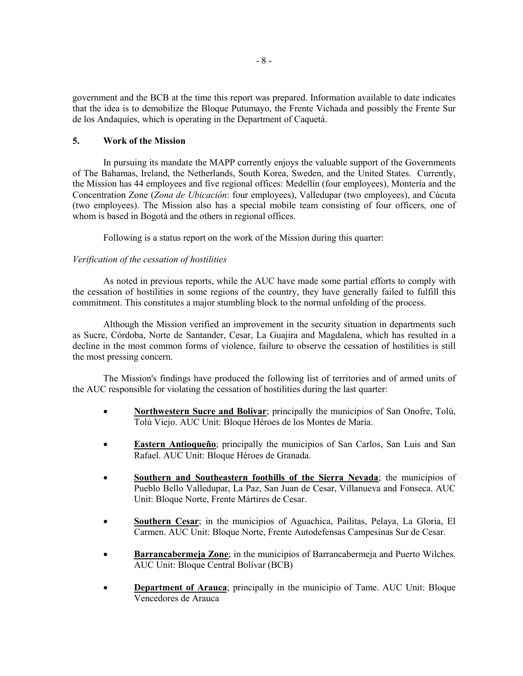government and the BCB at the time this report was prepared. Information available to date indicates that the idea is to demobilize the Bloque Putumayo, the Frente Vichada and possibly the Frente Sur de los Andaquíes, which is operating in the Department of Caquetá.

# **5. Work of the Mission**

In pursuing its mandate the MAPP currently enjoys the valuable support of the Governments of The Bahamas, Ireland, the Netherlands, South Korea, Sweden, and the United States. Currently, the Mission has 44 employees and five regional offices: Medellín (four employees), Montería and the Concentration Zone (*Zona de Ubicación*: four employees), Valledupar (two employees), and Cúcuta (two employees). The Mission also has a special mobile team consisting of four officers, one of whom is based in Bogotá and the others in regional offices.

Following is a status report on the work of the Mission during this quarter:

# *Verification of the cessation of hostilities*

As noted in previous reports, while the AUC have made some partial efforts to comply with the cessation of hostilities in some regions of the country, they have generally failed to fulfill this commitment. This constitutes a major stumbling block to the normal unfolding of the process.

Although the Mission verified an improvement in the security situation in departments such as Sucre, Córdoba, Norte de Santander, Cesar, La Guajira and Magdalena, which has resulted in a decline in the most common forms of violence, failure to observe the cessation of hostilities is still the most pressing concern.

The Mission's findings have produced the following list of territories and of armed units of the AUC responsible for violating the cessation of hostilities during the last quarter:

- **Northwestern Sucre and Bolívar**; principally the municipios of San Onofre, Tolú, Tolú Viejo. AUC Unit: Bloque Héroes de los Montes de María.
- **Eastern Antioqueño**; principally the municipios of San Carlos, San Luis and San Rafael. AUC Unit: Bloque Héroes de Granada.
- **Southern and Southeastern foothills of the Sierra Nevada**; the municipios of Pueblo Bello Valledupar, La Paz, San Juan de Cesar, Villanueva and Fonseca. AUC Unit: Bloque Norte, Frente Mártires de Cesar.
- **Southern Cesar**; in the municipios of Aguachica, Pailitas, Pelaya, La Gloria, El Carmen. AUC Unit: Bloque Norte, Frente Autodefensas Campesinas Sur de Cesar.
- **Barrancabermeja Zone**; in the municipios of Barrancabermeja and Puerto Wilches. AUC Unit: Bloque Central Bolívar (BCB)
- **Department of Arauca**; principally in the municipio of Tame. AUC Unit: Bloque Vencedores de Arauca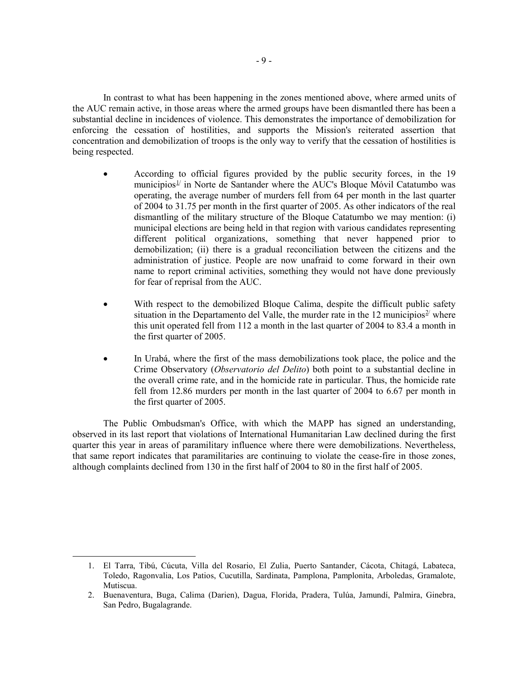In contrast to what has been happening in the zones mentioned above, where armed units of the AUC remain active, in those areas where the armed groups have been dismantled there has been a substantial decline in incidences of violence. This demonstrates the importance of demobilization for enforcing the cessation of hostilities, and supports the Mission's reiterated assertion that concentration and demobilization of troops is the only way to verify that the cessation of hostilities is being respected.

- According to official figures provided by the public security forces, in the 19 municipios $1/$  in Norte de Santander where the AUC's Bloque Móvil Catatumbo was operating, the average number of murders fell from 64 per month in the last quarter of 2004 to 31.75 per month in the first quarter of 2005. As other indicators of the real dismantling of the military structure of the Bloque Catatumbo we may mention: (i) municipal elections are being held in that region with various candidates representing different political organizations, something that never happened prior to demobilization; (ii) there is a gradual reconciliation between the citizens and the administration of justice. People are now unafraid to come forward in their own name to report criminal activities, something they would not have done previously for fear of reprisal from the AUC.
- With respect to the demobilized Bloque Calima, despite the difficult public safety situation in the Departamento del Valle, the murder rate in the 12 municipios<sup> $2$ </sup> where this unit operated fell from 112 a month in the last quarter of 2004 to 83.4 a month in the first quarter of 2005.
- In Urabá, where the first of the mass demobilizations took place, the police and the Crime Observatory (*Observatorio del Delito*) both point to a substantial decline in the overall crime rate, and in the homicide rate in particular. Thus, the homicide rate fell from 12.86 murders per month in the last quarter of 2004 to 6.67 per month in the first quarter of 2005.

The Public Ombudsman's Office, with which the MAPP has signed an understanding, observed in its last report that violations of International Humanitarian Law declined during the first quarter this year in areas of paramilitary influence where there were demobilizations. Nevertheless, that same report indicates that paramilitaries are continuing to violate the cease-fire in those zones, although complaints declined from 130 in the first half of 2004 to 80 in the first half of 2005.

<span id="page-9-1"></span><span id="page-9-0"></span>**.** 

<sup>1.</sup> El Tarra, Tibú, Cúcuta, Villa del Rosario, El Zulia, Puerto Santander, Cácota, Chitagá, Labateca, Toledo, Ragonvalia, Los Patios, Cucutilla, Sardinata, Pamplona, Pamplonita, Arboledas, Gramalote, Mutiscua.

<sup>2.</sup> Buenaventura, Buga, Calima (Darien), Dagua, Florida, Pradera, Tulúa, Jamundí, Palmira, Ginebra, San Pedro, Bugalagrande.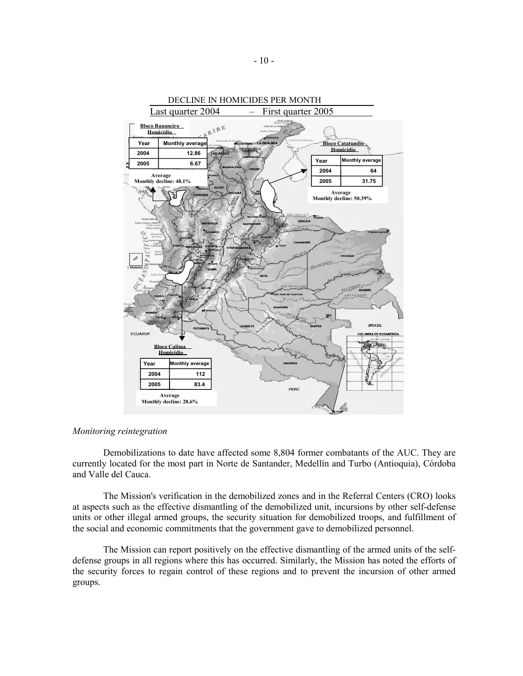

### *Monitoring reintegration*

Demobilizations to date have affected some 8,804 former combatants of the AUC. They are currently located for the most part in Norte de Santander, Medellín and Turbo (Antioquia), Córdoba and Valle del Cauca.

The Mission's verification in the demobilized zones and in the Referral Centers (CRO) looks at aspects such as the effective dismantling of the demobilized unit, incursions by other self-defense units or other illegal armed groups, the security situation for demobilized troops, and fulfillment of the social and economic commitments that the government gave to demobilized personnel.

The Mission can report positively on the effective dismantling of the armed units of the selfdefense groups in all regions where this has occurred. Similarly, the Mission has noted the efforts of the security forces to regain control of these regions and to prevent the incursion of other armed groups.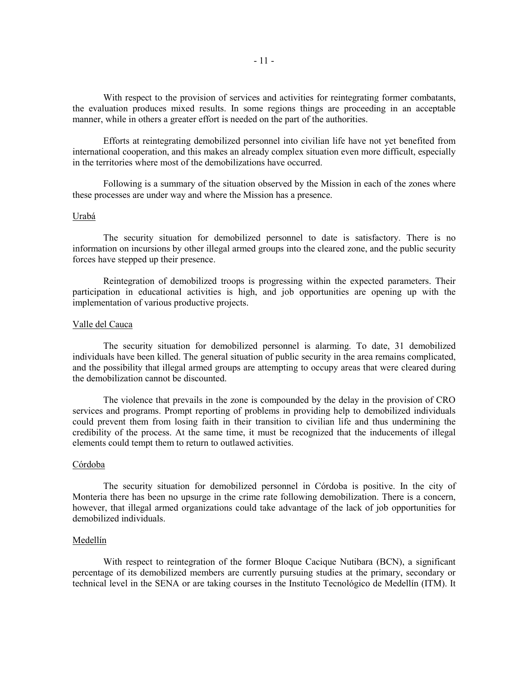With respect to the provision of services and activities for reintegrating former combatants, the evaluation produces mixed results. In some regions things are proceeding in an acceptable manner, while in others a greater effort is needed on the part of the authorities.

Efforts at reintegrating demobilized personnel into civilian life have not yet benefited from international cooperation, and this makes an already complex situation even more difficult, especially in the territories where most of the demobilizations have occurred.

Following is a summary of the situation observed by the Mission in each of the zones where these processes are under way and where the Mission has a presence.

#### Urabá

The security situation for demobilized personnel to date is satisfactory. There is no information on incursions by other illegal armed groups into the cleared zone, and the public security forces have stepped up their presence.

Reintegration of demobilized troops is progressing within the expected parameters. Their participation in educational activities is high, and job opportunities are opening up with the implementation of various productive projects.

#### Valle del Cauca

The security situation for demobilized personnel is alarming. To date, 31 demobilized individuals have been killed. The general situation of public security in the area remains complicated, and the possibility that illegal armed groups are attempting to occupy areas that were cleared during the demobilization cannot be discounted.

The violence that prevails in the zone is compounded by the delay in the provision of CRO services and programs. Prompt reporting of problems in providing help to demobilized individuals could prevent them from losing faith in their transition to civilian life and thus undermining the credibility of the process. At the same time, it must be recognized that the inducements of illegal elements could tempt them to return to outlawed activities.

### Córdoba

The security situation for demobilized personnel in Córdoba is positive. In the city of Monteria there has been no upsurge in the crime rate following demobilization. There is a concern, however, that illegal armed organizations could take advantage of the lack of job opportunities for demobilized individuals.

### Medellín

With respect to reintegration of the former Bloque Cacique Nutibara (BCN), a significant percentage of its demobilized members are currently pursuing studies at the primary, secondary or technical level in the SENA or are taking courses in the Instituto Tecnológico de Medellín (ITM). It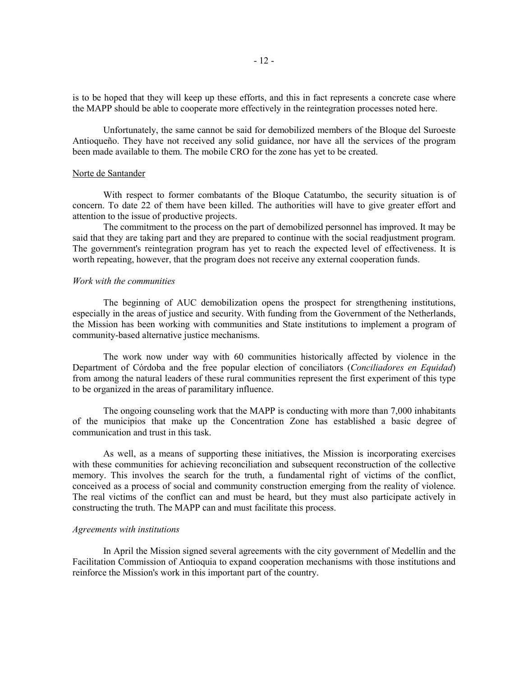is to be hoped that they will keep up these efforts, and this in fact represents a concrete case where the MAPP should be able to cooperate more effectively in the reintegration processes noted here.

Unfortunately, the same cannot be said for demobilized members of the Bloque del Suroeste Antioqueño. They have not received any solid guidance, nor have all the services of the program been made available to them. The mobile CRO for the zone has yet to be created.

#### Norte de Santander

With respect to former combatants of the Bloque Catatumbo, the security situation is of concern. To date 22 of them have been killed. The authorities will have to give greater effort and attention to the issue of productive projects.

The commitment to the process on the part of demobilized personnel has improved. It may be said that they are taking part and they are prepared to continue with the social readjustment program. The government's reintegration program has yet to reach the expected level of effectiveness. It is worth repeating, however, that the program does not receive any external cooperation funds.

## *Work with the communities*

The beginning of AUC demobilization opens the prospect for strengthening institutions, especially in the areas of justice and security. With funding from the Government of the Netherlands, the Mission has been working with communities and State institutions to implement a program of community-based alternative justice mechanisms.

The work now under way with 60 communities historically affected by violence in the Department of Córdoba and the free popular election of conciliators (*Conciliadores en Equidad*) from among the natural leaders of these rural communities represent the first experiment of this type to be organized in the areas of paramilitary influence.

The ongoing counseling work that the MAPP is conducting with more than 7,000 inhabitants of the municipios that make up the Concentration Zone has established a basic degree of communication and trust in this task.

As well, as a means of supporting these initiatives, the Mission is incorporating exercises with these communities for achieving reconciliation and subsequent reconstruction of the collective memory. This involves the search for the truth, a fundamental right of victims of the conflict, conceived as a process of social and community construction emerging from the reality of violence. The real victims of the conflict can and must be heard, but they must also participate actively in constructing the truth. The MAPP can and must facilitate this process.

### *Agreements with institutions*

In April the Mission signed several agreements with the city government of Medellín and the Facilitation Commission of Antioquia to expand cooperation mechanisms with those institutions and reinforce the Mission's work in this important part of the country.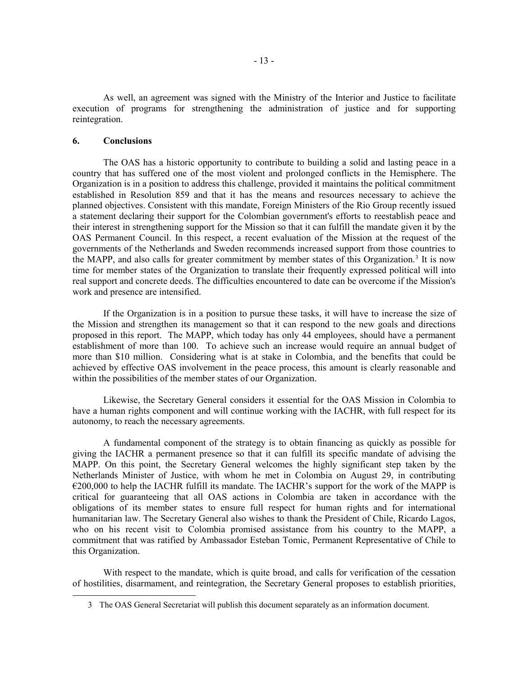As well, an agreement was signed with the Ministry of the Interior and Justice to facilitate execution of programs for strengthening the administration of justice and for supporting reintegration.

# **6. Conclusions**

<span id="page-13-0"></span> $\overline{\phantom{a}}$ 

The OAS has a historic opportunity to contribute to building a solid and lasting peace in a country that has suffered one of the most violent and prolonged conflicts in the Hemisphere. The Organization is in a position to address this challenge, provided it maintains the political commitment established in Resolution 859 and that it has the means and resources necessary to achieve the planned objectives. Consistent with this mandate, Foreign Ministers of the Rio Group recently issued a statement declaring their support for the Colombian government's efforts to reestablish peace and their interest in strengthening support for the Mission so that it can fulfill the mandate given it by the OAS Permanent Council. In this respect, a recent evaluation of the Mission at the request of the governments of the Netherlands and Sweden recommends increased support from those countries to the MAPP, and also calls for greater commitment by member states of this Organization.<sup>3</sup> It is now time for member states of the Organization to translate their frequently expressed political will into real support and concrete deeds. The difficulties encountered to date can be overcome if the Mission's work and presence are intensified.

If the Organization is in a position to pursue these tasks, it will have to increase the size of the Mission and strengthen its management so that it can respond to the new goals and directions proposed in this report. The MAPP, which today has only 44 employees, should have a permanent establishment of more than 100. To achieve such an increase would require an annual budget of more than \$10 million. Considering what is at stake in Colombia, and the benefits that could be achieved by effective OAS involvement in the peace process, this amount is clearly reasonable and within the possibilities of the member states of our Organization.

Likewise, the Secretary General considers it essential for the OAS Mission in Colombia to have a human rights component and will continue working with the IACHR, with full respect for its autonomy, to reach the necessary agreements.

A fundamental component of the strategy is to obtain financing as quickly as possible for giving the IACHR a permanent presence so that it can fulfill its specific mandate of advising the MAPP. On this point, the Secretary General welcomes the highly significant step taken by the Netherlands Minister of Justice, with whom he met in Colombia on August 29, in contributing  $\epsilon$ 200,000 to help the IACHR fulfill its mandate. The IACHR's support for the work of the MAPP is critical for guaranteeing that all OAS actions in Colombia are taken in accordance with the obligations of its member states to ensure full respect for human rights and for international humanitarian law. The Secretary General also wishes to thank the President of Chile, Ricardo Lagos, who on his recent visit to Colombia promised assistance from his country to the MAPP, a commitment that was ratified by Ambassador Esteban Tomic, Permanent Representative of Chile to this Organization.

With respect to the mandate, which is quite broad, and calls for verification of the cessation of hostilities, disarmament, and reintegration, the Secretary General proposes to establish priorities,

<sup>3</sup> The OAS General Secretariat will publish this document separately as an information document.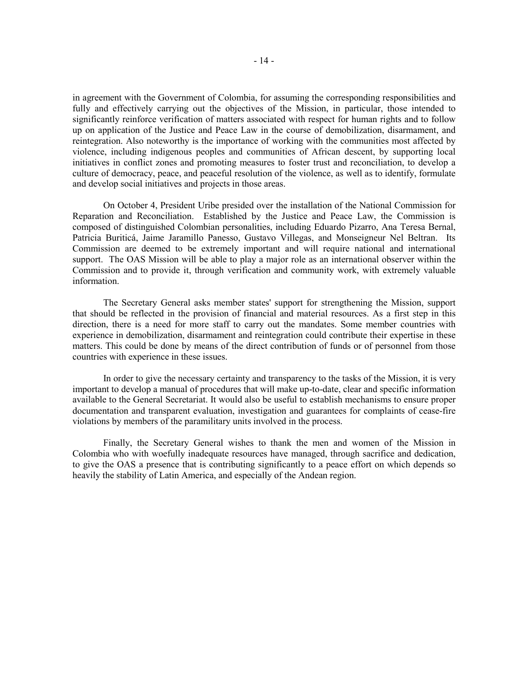in agreement with the Government of Colombia, for assuming the corresponding responsibilities and fully and effectively carrying out the objectives of the Mission, in particular, those intended to significantly reinforce verification of matters associated with respect for human rights and to follow up on application of the Justice and Peace Law in the course of demobilization, disarmament, and reintegration. Also noteworthy is the importance of working with the communities most affected by violence, including indigenous peoples and communities of African descent, by supporting local initiatives in conflict zones and promoting measures to foster trust and reconciliation, to develop a culture of democracy, peace, and peaceful resolution of the violence, as well as to identify, formulate and develop social initiatives and projects in those areas.

On October 4, President Uribe presided over the installation of the National Commission for Reparation and Reconciliation. Established by the Justice and Peace Law, the Commission is composed of distinguished Colombian personalities, including Eduardo Pizarro, Ana Teresa Bernal, Patricia Buriticá, Jaime Jaramillo Panesso, Gustavo Villegas, and Monseigneur Nel Beltran. Its Commission are deemed to be extremely important and will require national and international support. The OAS Mission will be able to play a major role as an international observer within the Commission and to provide it, through verification and community work, with extremely valuable information.

The Secretary General asks member states' support for strengthening the Mission, support that should be reflected in the provision of financial and material resources. As a first step in this direction, there is a need for more staff to carry out the mandates. Some member countries with experience in demobilization, disarmament and reintegration could contribute their expertise in these matters. This could be done by means of the direct contribution of funds or of personnel from those countries with experience in these issues.

In order to give the necessary certainty and transparency to the tasks of the Mission, it is very important to develop a manual of procedures that will make up-to-date, clear and specific information available to the General Secretariat. It would also be useful to establish mechanisms to ensure proper documentation and transparent evaluation, investigation and guarantees for complaints of cease-fire violations by members of the paramilitary units involved in the process.

Finally, the Secretary General wishes to thank the men and women of the Mission in Colombia who with woefully inadequate resources have managed, through sacrifice and dedication, to give the OAS a presence that is contributing significantly to a peace effort on which depends so heavily the stability of Latin America, and especially of the Andean region.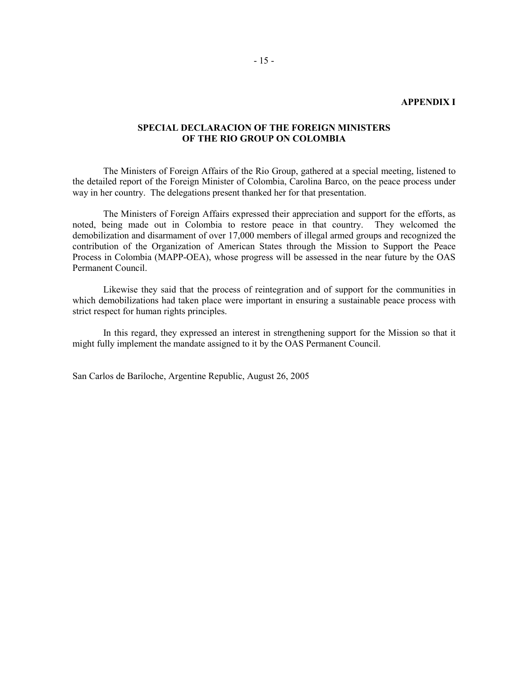#### **APPENDIX I**

# **SPECIAL DECLARACION OF THE FOREIGN MINISTERS OF THE RIO GROUP ON COLOMBIA**

The Ministers of Foreign Affairs of the Rio Group, gathered at a special meeting, listened to the detailed report of the Foreign Minister of Colombia, Carolina Barco, on the peace process under way in her country. The delegations present thanked her for that presentation.

The Ministers of Foreign Affairs expressed their appreciation and support for the efforts, as noted, being made out in Colombia to restore peace in that country. They welcomed the demobilization and disarmament of over 17,000 members of illegal armed groups and recognized the contribution of the Organization of American States through the Mission to Support the Peace Process in Colombia (MAPP-OEA), whose progress will be assessed in the near future by the OAS Permanent Council.

Likewise they said that the process of reintegration and of support for the communities in which demobilizations had taken place were important in ensuring a sustainable peace process with strict respect for human rights principles.

In this regard, they expressed an interest in strengthening support for the Mission so that it might fully implement the mandate assigned to it by the OAS Permanent Council.

San Carlos de Bariloche, Argentine Republic, August 26, 2005